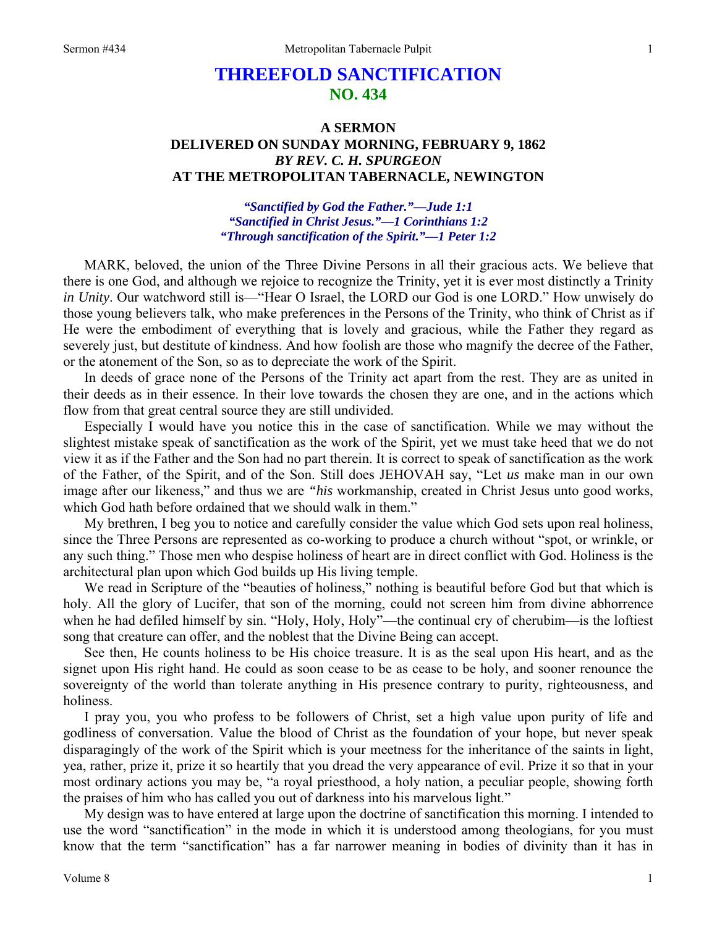## **THREEFOLD SANCTIFICATION NO. 434**

## **A SERMON DELIVERED ON SUNDAY MORNING, FEBRUARY 9, 1862**  *BY REV. C. H. SPURGEON*  **AT THE METROPOLITAN TABERNACLE, NEWINGTON**

*"Sanctified by God the Father."—Jude 1:1 "Sanctified in Christ Jesus."—1 Corinthians 1:2 "Through sanctification of the Spirit."—1 Peter 1:2* 

MARK, beloved, the union of the Three Divine Persons in all their gracious acts. We believe that there is one God, and although we rejoice to recognize the Trinity, yet it is ever most distinctly a Trinity *in Unity*. Our watchword still is—"Hear O Israel, the LORD our God is one LORD." How unwisely do those young believers talk, who make preferences in the Persons of the Trinity, who think of Christ as if He were the embodiment of everything that is lovely and gracious, while the Father they regard as severely just, but destitute of kindness. And how foolish are those who magnify the decree of the Father, or the atonement of the Son, so as to depreciate the work of the Spirit.

In deeds of grace none of the Persons of the Trinity act apart from the rest. They are as united in their deeds as in their essence. In their love towards the chosen they are one, and in the actions which flow from that great central source they are still undivided.

Especially I would have you notice this in the case of sanctification. While we may without the slightest mistake speak of sanctification as the work of the Spirit, yet we must take heed that we do not view it as if the Father and the Son had no part therein. It is correct to speak of sanctification as the work of the Father, of the Spirit, and of the Son. Still does JEHOVAH say, "Let *us* make man in our own image after our likeness," and thus we are *"his* workmanship, created in Christ Jesus unto good works, which God hath before ordained that we should walk in them."

My brethren, I beg you to notice and carefully consider the value which God sets upon real holiness, since the Three Persons are represented as co-working to produce a church without "spot, or wrinkle, or any such thing." Those men who despise holiness of heart are in direct conflict with God. Holiness is the architectural plan upon which God builds up His living temple.

We read in Scripture of the "beauties of holiness," nothing is beautiful before God but that which is holy. All the glory of Lucifer, that son of the morning, could not screen him from divine abhorrence when he had defiled himself by sin. "Holy, Holy, Holy"—the continual cry of cherubim—is the loftiest song that creature can offer, and the noblest that the Divine Being can accept.

See then, He counts holiness to be His choice treasure. It is as the seal upon His heart, and as the signet upon His right hand. He could as soon cease to be as cease to be holy, and sooner renounce the sovereignty of the world than tolerate anything in His presence contrary to purity, righteousness, and holiness.

I pray you, you who profess to be followers of Christ, set a high value upon purity of life and godliness of conversation. Value the blood of Christ as the foundation of your hope, but never speak disparagingly of the work of the Spirit which is your meetness for the inheritance of the saints in light, yea, rather, prize it, prize it so heartily that you dread the very appearance of evil. Prize it so that in your most ordinary actions you may be, "a royal priesthood, a holy nation, a peculiar people, showing forth the praises of him who has called you out of darkness into his marvelous light."

My design was to have entered at large upon the doctrine of sanctification this morning. I intended to use the word "sanctification" in the mode in which it is understood among theologians, for you must know that the term "sanctification" has a far narrower meaning in bodies of divinity than it has in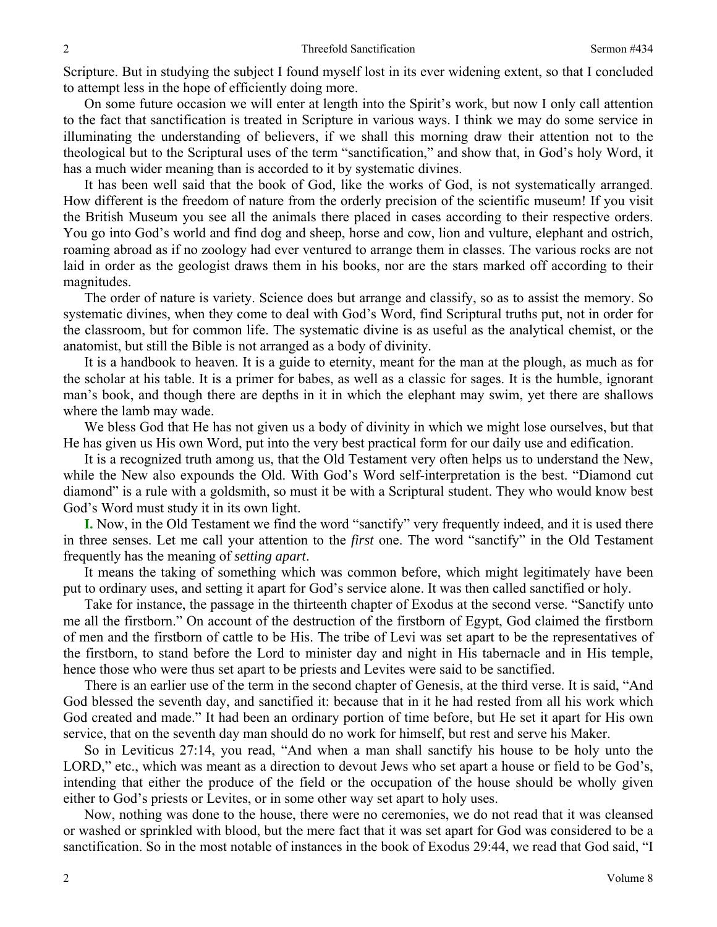Scripture. But in studying the subject I found myself lost in its ever widening extent, so that I concluded to attempt less in the hope of efficiently doing more.

On some future occasion we will enter at length into the Spirit's work, but now I only call attention to the fact that sanctification is treated in Scripture in various ways. I think we may do some service in illuminating the understanding of believers, if we shall this morning draw their attention not to the theological but to the Scriptural uses of the term "sanctification," and show that, in God's holy Word, it has a much wider meaning than is accorded to it by systematic divines.

It has been well said that the book of God, like the works of God, is not systematically arranged. How different is the freedom of nature from the orderly precision of the scientific museum! If you visit the British Museum you see all the animals there placed in cases according to their respective orders. You go into God's world and find dog and sheep, horse and cow, lion and vulture, elephant and ostrich, roaming abroad as if no zoology had ever ventured to arrange them in classes. The various rocks are not laid in order as the geologist draws them in his books, nor are the stars marked off according to their magnitudes.

The order of nature is variety. Science does but arrange and classify, so as to assist the memory. So systematic divines, when they come to deal with God's Word, find Scriptural truths put, not in order for the classroom, but for common life. The systematic divine is as useful as the analytical chemist, or the anatomist, but still the Bible is not arranged as a body of divinity.

It is a handbook to heaven. It is a guide to eternity, meant for the man at the plough, as much as for the scholar at his table. It is a primer for babes, as well as a classic for sages. It is the humble, ignorant man's book, and though there are depths in it in which the elephant may swim, yet there are shallows where the lamb may wade.

We bless God that He has not given us a body of divinity in which we might lose ourselves, but that He has given us His own Word, put into the very best practical form for our daily use and edification.

It is a recognized truth among us, that the Old Testament very often helps us to understand the New, while the New also expounds the Old. With God's Word self-interpretation is the best. "Diamond cut diamond" is a rule with a goldsmith, so must it be with a Scriptural student. They who would know best God's Word must study it in its own light.

**I.** Now, in the Old Testament we find the word "sanctify" very frequently indeed, and it is used there in three senses. Let me call your attention to the *first* one. The word "sanctify" in the Old Testament frequently has the meaning of *setting apart*.

It means the taking of something which was common before, which might legitimately have been put to ordinary uses, and setting it apart for God's service alone. It was then called sanctified or holy.

Take for instance, the passage in the thirteenth chapter of Exodus at the second verse. "Sanctify unto me all the firstborn." On account of the destruction of the firstborn of Egypt, God claimed the firstborn of men and the firstborn of cattle to be His. The tribe of Levi was set apart to be the representatives of the firstborn, to stand before the Lord to minister day and night in His tabernacle and in His temple, hence those who were thus set apart to be priests and Levites were said to be sanctified.

There is an earlier use of the term in the second chapter of Genesis, at the third verse. It is said, "And God blessed the seventh day, and sanctified it: because that in it he had rested from all his work which God created and made." It had been an ordinary portion of time before, but He set it apart for His own service, that on the seventh day man should do no work for himself, but rest and serve his Maker.

So in Leviticus 27:14, you read, "And when a man shall sanctify his house to be holy unto the LORD," etc., which was meant as a direction to devout Jews who set apart a house or field to be God's, intending that either the produce of the field or the occupation of the house should be wholly given either to God's priests or Levites, or in some other way set apart to holy uses.

Now, nothing was done to the house, there were no ceremonies, we do not read that it was cleansed or washed or sprinkled with blood, but the mere fact that it was set apart for God was considered to be a sanctification. So in the most notable of instances in the book of Exodus 29:44, we read that God said, "I

2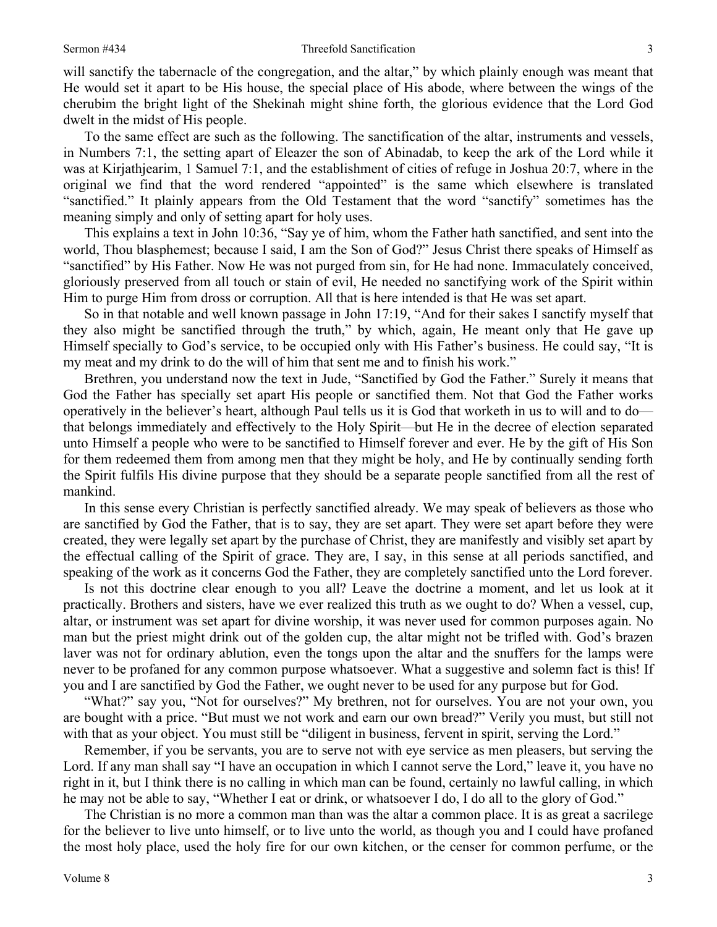will sanctify the tabernacle of the congregation, and the altar," by which plainly enough was meant that He would set it apart to be His house, the special place of His abode, where between the wings of the cherubim the bright light of the Shekinah might shine forth, the glorious evidence that the Lord God dwelt in the midst of His people.

To the same effect are such as the following. The sanctification of the altar, instruments and vessels, in Numbers 7:1, the setting apart of Eleazer the son of Abinadab, to keep the ark of the Lord while it was at Kirjathjearim, 1 Samuel 7:1, and the establishment of cities of refuge in Joshua 20:7, where in the original we find that the word rendered "appointed" is the same which elsewhere is translated "sanctified." It plainly appears from the Old Testament that the word "sanctify" sometimes has the meaning simply and only of setting apart for holy uses.

This explains a text in John 10:36, "Say ye of him, whom the Father hath sanctified, and sent into the world, Thou blasphemest; because I said, I am the Son of God?" Jesus Christ there speaks of Himself as "sanctified" by His Father. Now He was not purged from sin, for He had none. Immaculately conceived, gloriously preserved from all touch or stain of evil, He needed no sanctifying work of the Spirit within Him to purge Him from dross or corruption. All that is here intended is that He was set apart.

So in that notable and well known passage in John 17:19, "And for their sakes I sanctify myself that they also might be sanctified through the truth," by which, again, He meant only that He gave up Himself specially to God's service, to be occupied only with His Father's business. He could say, "It is my meat and my drink to do the will of him that sent me and to finish his work."

Brethren, you understand now the text in Jude, "Sanctified by God the Father." Surely it means that God the Father has specially set apart His people or sanctified them. Not that God the Father works operatively in the believer's heart, although Paul tells us it is God that worketh in us to will and to do that belongs immediately and effectively to the Holy Spirit—but He in the decree of election separated unto Himself a people who were to be sanctified to Himself forever and ever. He by the gift of His Son for them redeemed them from among men that they might be holy, and He by continually sending forth the Spirit fulfils His divine purpose that they should be a separate people sanctified from all the rest of mankind.

In this sense every Christian is perfectly sanctified already. We may speak of believers as those who are sanctified by God the Father, that is to say, they are set apart. They were set apart before they were created, they were legally set apart by the purchase of Christ, they are manifestly and visibly set apart by the effectual calling of the Spirit of grace. They are, I say, in this sense at all periods sanctified, and speaking of the work as it concerns God the Father, they are completely sanctified unto the Lord forever.

Is not this doctrine clear enough to you all? Leave the doctrine a moment, and let us look at it practically. Brothers and sisters, have we ever realized this truth as we ought to do? When a vessel, cup, altar, or instrument was set apart for divine worship, it was never used for common purposes again. No man but the priest might drink out of the golden cup, the altar might not be trifled with. God's brazen laver was not for ordinary ablution, even the tongs upon the altar and the snuffers for the lamps were never to be profaned for any common purpose whatsoever. What a suggestive and solemn fact is this! If you and I are sanctified by God the Father, we ought never to be used for any purpose but for God.

"What?" say you, "Not for ourselves?" My brethren, not for ourselves. You are not your own, you are bought with a price. "But must we not work and earn our own bread?" Verily you must, but still not with that as your object. You must still be "diligent in business, fervent in spirit, serving the Lord."

Remember, if you be servants, you are to serve not with eye service as men pleasers, but serving the Lord. If any man shall say "I have an occupation in which I cannot serve the Lord," leave it, you have no right in it, but I think there is no calling in which man can be found, certainly no lawful calling, in which he may not be able to say, "Whether I eat or drink, or whatsoever I do, I do all to the glory of God."

The Christian is no more a common man than was the altar a common place. It is as great a sacrilege for the believer to live unto himself, or to live unto the world, as though you and I could have profaned the most holy place, used the holy fire for our own kitchen, or the censer for common perfume, or the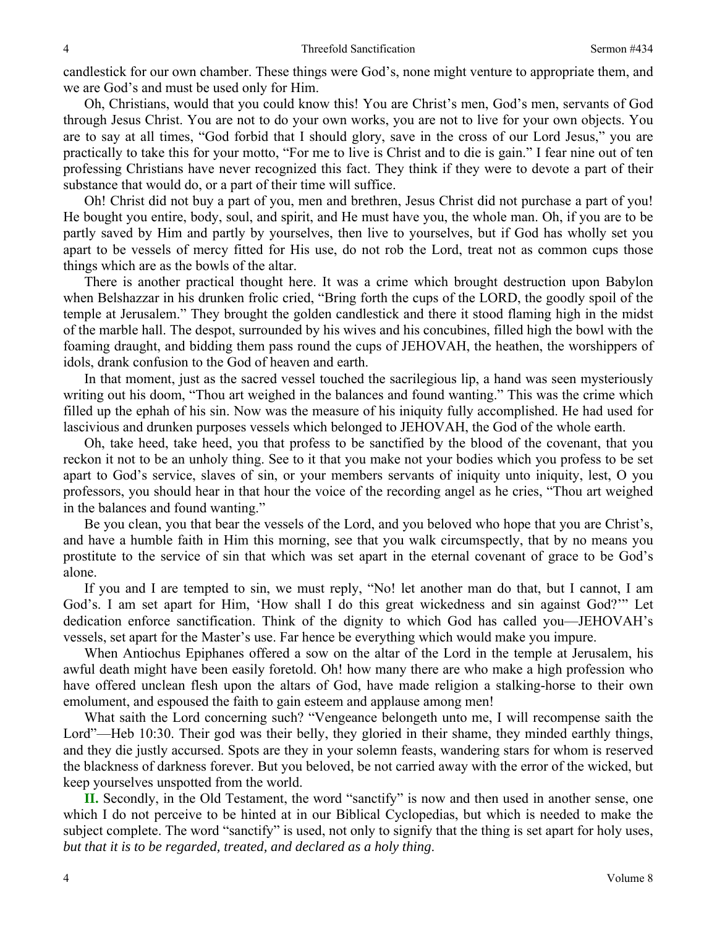candlestick for our own chamber. These things were God's, none might venture to appropriate them, and we are God's and must be used only for Him.

Oh, Christians, would that you could know this! You are Christ's men, God's men, servants of God through Jesus Christ. You are not to do your own works, you are not to live for your own objects. You are to say at all times, "God forbid that I should glory, save in the cross of our Lord Jesus," you are practically to take this for your motto, "For me to live is Christ and to die is gain." I fear nine out of ten professing Christians have never recognized this fact. They think if they were to devote a part of their substance that would do, or a part of their time will suffice.

Oh! Christ did not buy a part of you, men and brethren, Jesus Christ did not purchase a part of you! He bought you entire, body, soul, and spirit, and He must have you, the whole man. Oh, if you are to be partly saved by Him and partly by yourselves, then live to yourselves, but if God has wholly set you apart to be vessels of mercy fitted for His use, do not rob the Lord, treat not as common cups those things which are as the bowls of the altar.

There is another practical thought here. It was a crime which brought destruction upon Babylon when Belshazzar in his drunken frolic cried, "Bring forth the cups of the LORD, the goodly spoil of the temple at Jerusalem." They brought the golden candlestick and there it stood flaming high in the midst of the marble hall. The despot, surrounded by his wives and his concubines, filled high the bowl with the foaming draught, and bidding them pass round the cups of JEHOVAH, the heathen, the worshippers of idols, drank confusion to the God of heaven and earth.

In that moment, just as the sacred vessel touched the sacrilegious lip, a hand was seen mysteriously writing out his doom, "Thou art weighed in the balances and found wanting." This was the crime which filled up the ephah of his sin. Now was the measure of his iniquity fully accomplished. He had used for lascivious and drunken purposes vessels which belonged to JEHOVAH, the God of the whole earth.

Oh, take heed, take heed, you that profess to be sanctified by the blood of the covenant, that you reckon it not to be an unholy thing. See to it that you make not your bodies which you profess to be set apart to God's service, slaves of sin, or your members servants of iniquity unto iniquity, lest, O you professors, you should hear in that hour the voice of the recording angel as he cries, "Thou art weighed in the balances and found wanting."

Be you clean, you that bear the vessels of the Lord, and you beloved who hope that you are Christ's, and have a humble faith in Him this morning, see that you walk circumspectly, that by no means you prostitute to the service of sin that which was set apart in the eternal covenant of grace to be God's alone.

If you and I are tempted to sin, we must reply, "No! let another man do that, but I cannot, I am God's. I am set apart for Him, 'How shall I do this great wickedness and sin against God?'" Let dedication enforce sanctification. Think of the dignity to which God has called you—JEHOVAH's vessels, set apart for the Master's use. Far hence be everything which would make you impure.

When Antiochus Epiphanes offered a sow on the altar of the Lord in the temple at Jerusalem, his awful death might have been easily foretold. Oh! how many there are who make a high profession who have offered unclean flesh upon the altars of God, have made religion a stalking-horse to their own emolument, and espoused the faith to gain esteem and applause among men!

What saith the Lord concerning such? "Vengeance belongeth unto me, I will recompense saith the Lord"—Heb 10:30. Their god was their belly, they gloried in their shame, they minded earthly things, and they die justly accursed. Spots are they in your solemn feasts, wandering stars for whom is reserved the blackness of darkness forever. But you beloved, be not carried away with the error of the wicked, but keep yourselves unspotted from the world.

**II.** Secondly, in the Old Testament, the word "sanctify" is now and then used in another sense, one which I do not perceive to be hinted at in our Biblical Cyclopedias, but which is needed to make the subject complete. The word "sanctify" is used, not only to signify that the thing is set apart for holy uses, *but that it is to be regarded, treated, and declared as a holy thing*.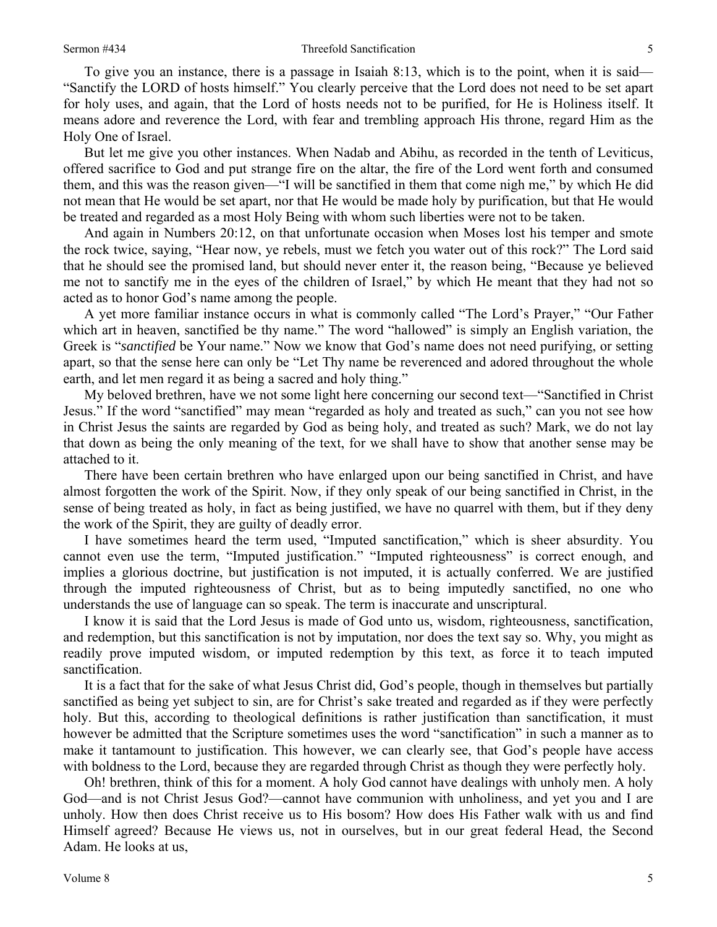## Sermon #434 Threefold Sanctification

To give you an instance, there is a passage in Isaiah 8:13, which is to the point, when it is said— "Sanctify the LORD of hosts himself." You clearly perceive that the Lord does not need to be set apart for holy uses, and again, that the Lord of hosts needs not to be purified, for He is Holiness itself. It means adore and reverence the Lord, with fear and trembling approach His throne, regard Him as the Holy One of Israel.

But let me give you other instances. When Nadab and Abihu, as recorded in the tenth of Leviticus, offered sacrifice to God and put strange fire on the altar, the fire of the Lord went forth and consumed them, and this was the reason given—"I will be sanctified in them that come nigh me," by which He did not mean that He would be set apart, nor that He would be made holy by purification, but that He would be treated and regarded as a most Holy Being with whom such liberties were not to be taken.

And again in Numbers 20:12, on that unfortunate occasion when Moses lost his temper and smote the rock twice, saying, "Hear now, ye rebels, must we fetch you water out of this rock?" The Lord said that he should see the promised land, but should never enter it, the reason being, "Because ye believed me not to sanctify me in the eyes of the children of Israel," by which He meant that they had not so acted as to honor God's name among the people.

A yet more familiar instance occurs in what is commonly called "The Lord's Prayer," "Our Father which art in heaven, sanctified be thy name." The word "hallowed" is simply an English variation, the Greek is "*sanctified* be Your name." Now we know that God's name does not need purifying, or setting apart, so that the sense here can only be "Let Thy name be reverenced and adored throughout the whole earth, and let men regard it as being a sacred and holy thing."

My beloved brethren, have we not some light here concerning our second text—"Sanctified in Christ Jesus." If the word "sanctified" may mean "regarded as holy and treated as such," can you not see how in Christ Jesus the saints are regarded by God as being holy, and treated as such? Mark, we do not lay that down as being the only meaning of the text, for we shall have to show that another sense may be attached to it.

There have been certain brethren who have enlarged upon our being sanctified in Christ, and have almost forgotten the work of the Spirit. Now, if they only speak of our being sanctified in Christ, in the sense of being treated as holy, in fact as being justified, we have no quarrel with them, but if they deny the work of the Spirit, they are guilty of deadly error.

I have sometimes heard the term used, "Imputed sanctification," which is sheer absurdity. You cannot even use the term, "Imputed justification." "Imputed righteousness" is correct enough, and implies a glorious doctrine, but justification is not imputed, it is actually conferred. We are justified through the imputed righteousness of Christ, but as to being imputedly sanctified, no one who understands the use of language can so speak. The term is inaccurate and unscriptural.

I know it is said that the Lord Jesus is made of God unto us, wisdom, righteousness, sanctification, and redemption, but this sanctification is not by imputation, nor does the text say so. Why, you might as readily prove imputed wisdom, or imputed redemption by this text, as force it to teach imputed sanctification.

It is a fact that for the sake of what Jesus Christ did, God's people, though in themselves but partially sanctified as being yet subject to sin, are for Christ's sake treated and regarded as if they were perfectly holy. But this, according to theological definitions is rather justification than sanctification, it must however be admitted that the Scripture sometimes uses the word "sanctification" in such a manner as to make it tantamount to justification. This however, we can clearly see, that God's people have access with boldness to the Lord, because they are regarded through Christ as though they were perfectly holy.

Oh! brethren, think of this for a moment. A holy God cannot have dealings with unholy men. A holy God—and is not Christ Jesus God?—cannot have communion with unholiness, and yet you and I are unholy. How then does Christ receive us to His bosom? How does His Father walk with us and find Himself agreed? Because He views us, not in ourselves, but in our great federal Head, the Second Adam. He looks at us,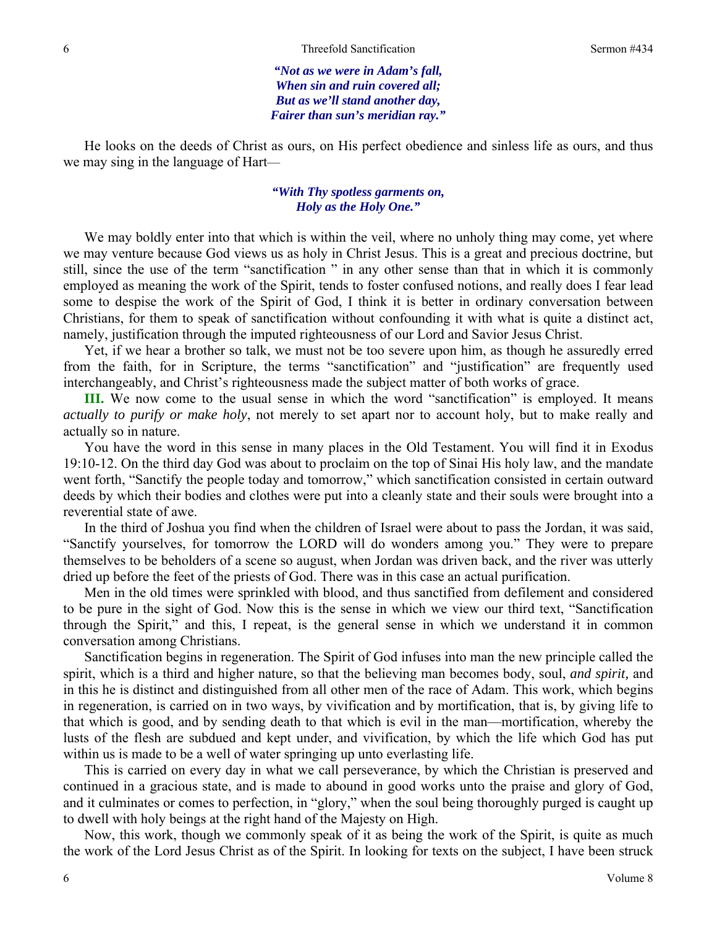*"Not as we were in Adam's fall, When sin and ruin covered all; But as we'll stand another day, Fairer than sun's meridian ray."* 

He looks on the deeds of Christ as ours, on His perfect obedience and sinless life as ours, and thus we may sing in the language of Hart—

## *"With Thy spotless garments on, Holy as the Holy One."*

We may boldly enter into that which is within the veil, where no unholy thing may come, yet where we may venture because God views us as holy in Christ Jesus. This is a great and precious doctrine, but still, since the use of the term "sanctification " in any other sense than that in which it is commonly employed as meaning the work of the Spirit, tends to foster confused notions, and really does I fear lead some to despise the work of the Spirit of God, I think it is better in ordinary conversation between Christians, for them to speak of sanctification without confounding it with what is quite a distinct act, namely, justification through the imputed righteousness of our Lord and Savior Jesus Christ.

Yet, if we hear a brother so talk, we must not be too severe upon him, as though he assuredly erred from the faith, for in Scripture, the terms "sanctification" and "justification" are frequently used interchangeably, and Christ's righteousness made the subject matter of both works of grace.

**III.** We now come to the usual sense in which the word "sanctification" is employed. It means *actually to purify or make holy*, not merely to set apart nor to account holy, but to make really and actually so in nature.

You have the word in this sense in many places in the Old Testament. You will find it in Exodus 19:10-12. On the third day God was about to proclaim on the top of Sinai His holy law, and the mandate went forth, "Sanctify the people today and tomorrow," which sanctification consisted in certain outward deeds by which their bodies and clothes were put into a cleanly state and their souls were brought into a reverential state of awe.

In the third of Joshua you find when the children of Israel were about to pass the Jordan, it was said, "Sanctify yourselves, for tomorrow the LORD will do wonders among you." They were to prepare themselves to be beholders of a scene so august, when Jordan was driven back, and the river was utterly dried up before the feet of the priests of God. There was in this case an actual purification.

Men in the old times were sprinkled with blood, and thus sanctified from defilement and considered to be pure in the sight of God. Now this is the sense in which we view our third text, "Sanctification through the Spirit," and this, I repeat, is the general sense in which we understand it in common conversation among Christians.

Sanctification begins in regeneration. The Spirit of God infuses into man the new principle called the spirit, which is a third and higher nature, so that the believing man becomes body, soul, *and spirit,* and in this he is distinct and distinguished from all other men of the race of Adam. This work, which begins in regeneration, is carried on in two ways, by vivification and by mortification, that is, by giving life to that which is good, and by sending death to that which is evil in the man—mortification, whereby the lusts of the flesh are subdued and kept under, and vivification, by which the life which God has put within us is made to be a well of water springing up unto everlasting life.

This is carried on every day in what we call perseverance, by which the Christian is preserved and continued in a gracious state, and is made to abound in good works unto the praise and glory of God, and it culminates or comes to perfection, in "glory," when the soul being thoroughly purged is caught up to dwell with holy beings at the right hand of the Majesty on High.

Now, this work, though we commonly speak of it as being the work of the Spirit, is quite as much the work of the Lord Jesus Christ as of the Spirit. In looking for texts on the subject, I have been struck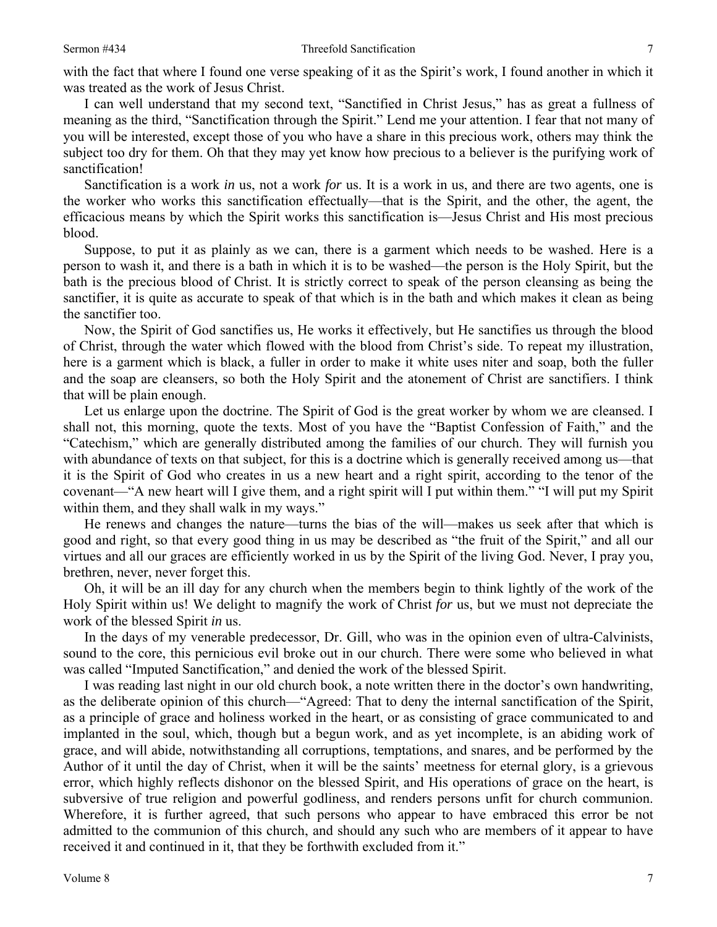with the fact that where I found one verse speaking of it as the Spirit's work, I found another in which it was treated as the work of Jesus Christ.

I can well understand that my second text, "Sanctified in Christ Jesus," has as great a fullness of meaning as the third, "Sanctification through the Spirit." Lend me your attention. I fear that not many of you will be interested, except those of you who have a share in this precious work, others may think the subject too dry for them. Oh that they may yet know how precious to a believer is the purifying work of sanctification!

Sanctification is a work *in* us, not a work *for* us. It is a work in us, and there are two agents, one is the worker who works this sanctification effectually—that is the Spirit, and the other, the agent, the efficacious means by which the Spirit works this sanctification is—Jesus Christ and His most precious blood.

Suppose, to put it as plainly as we can, there is a garment which needs to be washed. Here is a person to wash it, and there is a bath in which it is to be washed—the person is the Holy Spirit, but the bath is the precious blood of Christ. It is strictly correct to speak of the person cleansing as being the sanctifier, it is quite as accurate to speak of that which is in the bath and which makes it clean as being the sanctifier too.

Now, the Spirit of God sanctifies us, He works it effectively, but He sanctifies us through the blood of Christ, through the water which flowed with the blood from Christ's side. To repeat my illustration, here is a garment which is black, a fuller in order to make it white uses niter and soap, both the fuller and the soap are cleansers, so both the Holy Spirit and the atonement of Christ are sanctifiers. I think that will be plain enough.

Let us enlarge upon the doctrine. The Spirit of God is the great worker by whom we are cleansed. I shall not, this morning, quote the texts. Most of you have the "Baptist Confession of Faith," and the "Catechism," which are generally distributed among the families of our church. They will furnish you with abundance of texts on that subject, for this is a doctrine which is generally received among us—that it is the Spirit of God who creates in us a new heart and a right spirit, according to the tenor of the covenant—"A new heart will I give them, and a right spirit will I put within them." "I will put my Spirit within them, and they shall walk in my ways."

He renews and changes the nature—turns the bias of the will—makes us seek after that which is good and right, so that every good thing in us may be described as "the fruit of the Spirit," and all our virtues and all our graces are efficiently worked in us by the Spirit of the living God. Never, I pray you, brethren, never, never forget this.

Oh, it will be an ill day for any church when the members begin to think lightly of the work of the Holy Spirit within us! We delight to magnify the work of Christ *for* us, but we must not depreciate the work of the blessed Spirit *in* us.

In the days of my venerable predecessor, Dr. Gill, who was in the opinion even of ultra-Calvinists, sound to the core, this pernicious evil broke out in our church. There were some who believed in what was called "Imputed Sanctification," and denied the work of the blessed Spirit.

I was reading last night in our old church book, a note written there in the doctor's own handwriting, as the deliberate opinion of this church—"Agreed: That to deny the internal sanctification of the Spirit, as a principle of grace and holiness worked in the heart, or as consisting of grace communicated to and implanted in the soul, which, though but a begun work, and as yet incomplete, is an abiding work of grace, and will abide, notwithstanding all corruptions, temptations, and snares, and be performed by the Author of it until the day of Christ, when it will be the saints' meetness for eternal glory, is a grievous error, which highly reflects dishonor on the blessed Spirit, and His operations of grace on the heart, is subversive of true religion and powerful godliness, and renders persons unfit for church communion. Wherefore, it is further agreed, that such persons who appear to have embraced this error be not admitted to the communion of this church, and should any such who are members of it appear to have received it and continued in it, that they be forthwith excluded from it."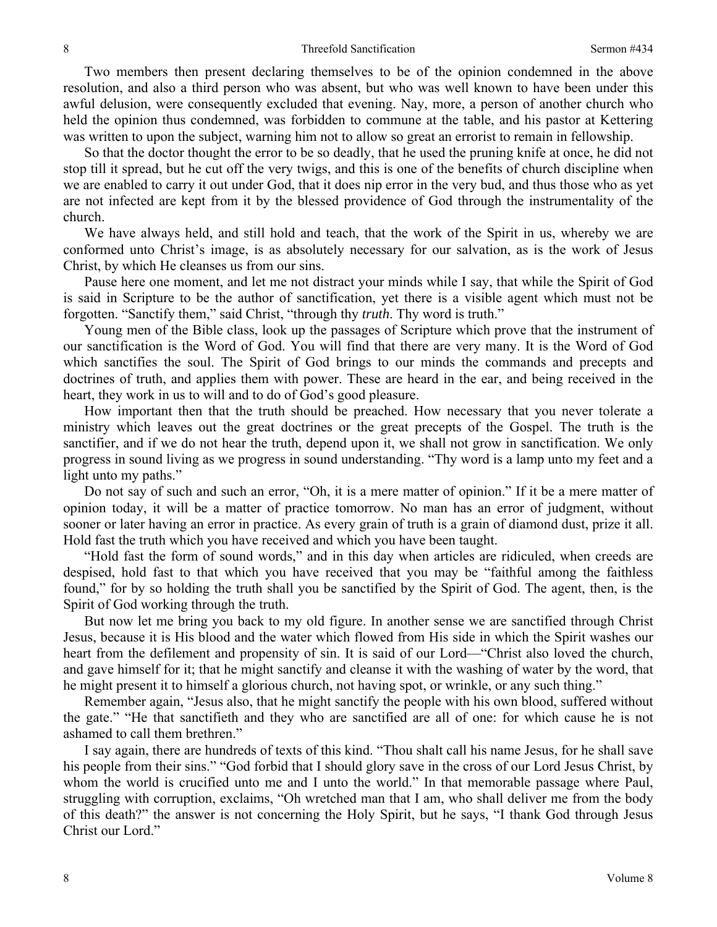Two members then present declaring themselves to be of the opinion condemned in the above resolution, and also a third person who was absent, but who was well known to have been under this awful delusion, were consequently excluded that evening. Nay, more, a person of another church who held the opinion thus condemned, was forbidden to commune at the table, and his pastor at Kettering was written to upon the subject, warning him not to allow so great an errorist to remain in fellowship.

So that the doctor thought the error to be so deadly, that he used the pruning knife at once, he did not stop till it spread, but he cut off the very twigs, and this is one of the benefits of church discipline when we are enabled to carry it out under God, that it does nip error in the very bud, and thus those who as yet are not infected are kept from it by the blessed providence of God through the instrumentality of the church.

We have always held, and still hold and teach, that the work of the Spirit in us, whereby we are conformed unto Christ's image, is as absolutely necessary for our salvation, as is the work of Jesus Christ, by which He cleanses us from our sins.

Pause here one moment, and let me not distract your minds while I say, that while the Spirit of God is said in Scripture to be the author of sanctification, yet there is a visible agent which must not be forgotten. "Sanctify them," said Christ, "through thy *truth*. Thy word is truth."

Young men of the Bible class, look up the passages of Scripture which prove that the instrument of our sanctification is the Word of God. You will find that there are very many. It is the Word of God which sanctifies the soul. The Spirit of God brings to our minds the commands and precepts and doctrines of truth, and applies them with power. These are heard in the ear, and being received in the heart, they work in us to will and to do of God's good pleasure.

How important then that the truth should be preached. How necessary that you never tolerate a ministry which leaves out the great doctrines or the great precepts of the Gospel. The truth is the sanctifier, and if we do not hear the truth, depend upon it, we shall not grow in sanctification. We only progress in sound living as we progress in sound understanding. "Thy word is a lamp unto my feet and a light unto my paths."

Do not say of such and such an error, "Oh, it is a mere matter of opinion." If it be a mere matter of opinion today, it will be a matter of practice tomorrow. No man has an error of judgment, without sooner or later having an error in practice. As every grain of truth is a grain of diamond dust, prize it all. Hold fast the truth which you have received and which you have been taught.

"Hold fast the form of sound words," and in this day when articles are ridiculed, when creeds are despised, hold fast to that which you have received that you may be "faithful among the faithless found," for by so holding the truth shall you be sanctified by the Spirit of God. The agent, then, is the Spirit of God working through the truth.

But now let me bring you back to my old figure. In another sense we are sanctified through Christ Jesus, because it is His blood and the water which flowed from His side in which the Spirit washes our heart from the defilement and propensity of sin. It is said of our Lord—"Christ also loved the church, and gave himself for it; that he might sanctify and cleanse it with the washing of water by the word, that he might present it to himself a glorious church, not having spot, or wrinkle, or any such thing."

Remember again, "Jesus also, that he might sanctify the people with his own blood, suffered without the gate." "He that sanctifieth and they who are sanctified are all of one: for which cause he is not ashamed to call them brethren."

I say again, there are hundreds of texts of this kind. "Thou shalt call his name Jesus, for he shall save his people from their sins." "God forbid that I should glory save in the cross of our Lord Jesus Christ, by whom the world is crucified unto me and I unto the world." In that memorable passage where Paul, struggling with corruption, exclaims, "Oh wretched man that I am, who shall deliver me from the body of this death?" the answer is not concerning the Holy Spirit, but he says, "I thank God through Jesus Christ our Lord."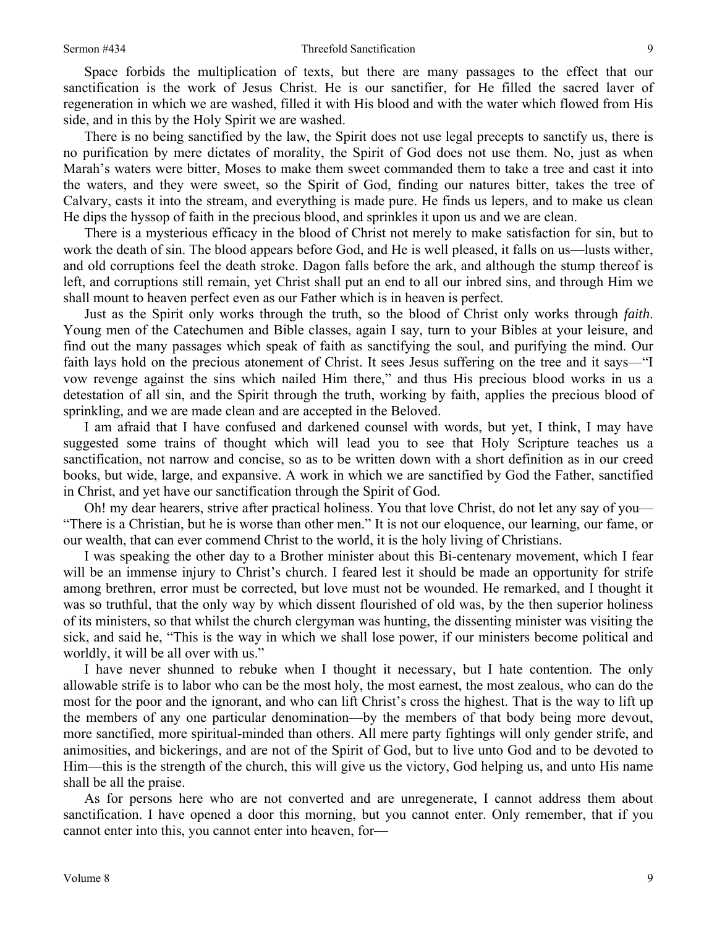Space forbids the multiplication of texts, but there are many passages to the effect that our sanctification is the work of Jesus Christ. He is our sanctifier, for He filled the sacred laver of regeneration in which we are washed, filled it with His blood and with the water which flowed from His side, and in this by the Holy Spirit we are washed.

There is no being sanctified by the law, the Spirit does not use legal precepts to sanctify us, there is no purification by mere dictates of morality, the Spirit of God does not use them. No, just as when Marah's waters were bitter, Moses to make them sweet commanded them to take a tree and cast it into the waters, and they were sweet, so the Spirit of God, finding our natures bitter, takes the tree of Calvary, casts it into the stream, and everything is made pure. He finds us lepers, and to make us clean He dips the hyssop of faith in the precious blood, and sprinkles it upon us and we are clean.

There is a mysterious efficacy in the blood of Christ not merely to make satisfaction for sin, but to work the death of sin. The blood appears before God, and He is well pleased, it falls on us—lusts wither, and old corruptions feel the death stroke. Dagon falls before the ark, and although the stump thereof is left, and corruptions still remain, yet Christ shall put an end to all our inbred sins, and through Him we shall mount to heaven perfect even as our Father which is in heaven is perfect.

Just as the Spirit only works through the truth, so the blood of Christ only works through *faith*. Young men of the Catechumen and Bible classes, again I say, turn to your Bibles at your leisure, and find out the many passages which speak of faith as sanctifying the soul, and purifying the mind. Our faith lays hold on the precious atonement of Christ. It sees Jesus suffering on the tree and it says—"I vow revenge against the sins which nailed Him there," and thus His precious blood works in us a detestation of all sin, and the Spirit through the truth, working by faith, applies the precious blood of sprinkling, and we are made clean and are accepted in the Beloved.

I am afraid that I have confused and darkened counsel with words, but yet, I think, I may have suggested some trains of thought which will lead you to see that Holy Scripture teaches us a sanctification, not narrow and concise, so as to be written down with a short definition as in our creed books, but wide, large, and expansive. A work in which we are sanctified by God the Father, sanctified in Christ, and yet have our sanctification through the Spirit of God.

Oh! my dear hearers, strive after practical holiness. You that love Christ, do not let any say of you— "There is a Christian, but he is worse than other men." It is not our eloquence, our learning, our fame, or our wealth, that can ever commend Christ to the world, it is the holy living of Christians.

I was speaking the other day to a Brother minister about this Bi-centenary movement, which I fear will be an immense injury to Christ's church. I feared lest it should be made an opportunity for strife among brethren, error must be corrected, but love must not be wounded. He remarked, and I thought it was so truthful, that the only way by which dissent flourished of old was, by the then superior holiness of its ministers, so that whilst the church clergyman was hunting, the dissenting minister was visiting the sick, and said he, "This is the way in which we shall lose power, if our ministers become political and worldly, it will be all over with us."

I have never shunned to rebuke when I thought it necessary, but I hate contention. The only allowable strife is to labor who can be the most holy, the most earnest, the most zealous, who can do the most for the poor and the ignorant, and who can lift Christ's cross the highest. That is the way to lift up the members of any one particular denomination—by the members of that body being more devout, more sanctified, more spiritual-minded than others. All mere party fightings will only gender strife, and animosities, and bickerings, and are not of the Spirit of God, but to live unto God and to be devoted to Him—this is the strength of the church, this will give us the victory, God helping us, and unto His name shall be all the praise.

As for persons here who are not converted and are unregenerate, I cannot address them about sanctification. I have opened a door this morning, but you cannot enter. Only remember, that if you cannot enter into this, you cannot enter into heaven, for—